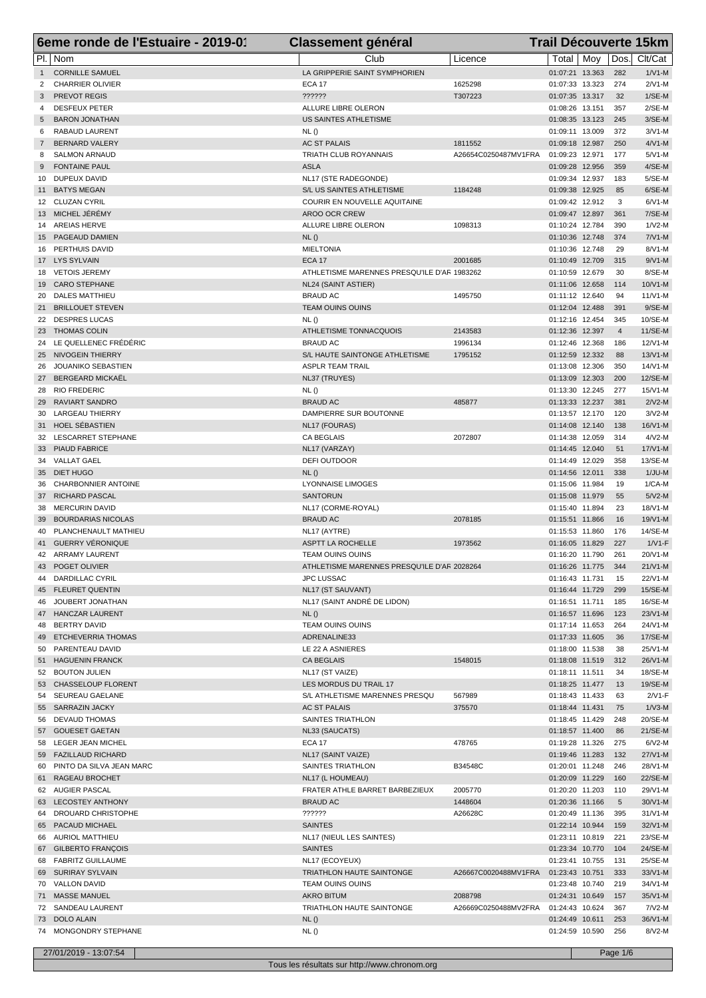|                | 6eme ronde de l'Estuaire - 2019-01                | <b>Classement général</b>                    |                      | <b>Trail Découverte 15km</b>       |     |                       |                      |
|----------------|---------------------------------------------------|----------------------------------------------|----------------------|------------------------------------|-----|-----------------------|----------------------|
|                | PI.   Nom                                         | Club                                         | Licence              | Total                              | Mov |                       | Dos. Clt/Cat         |
| $\mathbf{1}$   | <b>CORNILLE SAMUEL</b>                            | LA GRIPPERIE SAINT SYMPHORIEN                |                      | 01:07:21 13.363                    |     | 282                   | $1/V1-M$             |
| 2              | <b>CHARRIER OLIVIER</b>                           | <b>ECA 17</b>                                | 1625298              | 01:07:33 13.323                    |     | 274                   | $2/N1-M$             |
|                | 3 PREVOT REGIS                                    | ??????                                       | T307223              | 01:07:35 13.317                    |     | 32                    | $1/SE-M$             |
| 4              | <b>DESFEUX PETER</b>                              | ALLURE LIBRE OLERON<br>US SAINTES ATHLETISME |                      | 01:08:26 13.151                    |     | 357<br>245            | $2/SE-M$<br>$3/SE-M$ |
| 5<br>6         | <b>BARON JONATHAN</b><br>RABAUD LAURENT           | NL()                                         |                      | 01:08:35 13.123<br>01:09:11 13.009 |     | 372                   | $3/N1-M$             |
| $\overline{7}$ | <b>BERNARD VALERY</b>                             | <b>AC ST PALAIS</b>                          | 1811552              | 01:09:18 12.987                    |     | 250                   | $4/N1-M$             |
| 8              | <b>SALMON ARNAUD</b>                              | <b>TRIATH CLUB ROYANNAIS</b>                 | A26654C0250487MV1FRA | 01:09:23 12.971                    |     | 177                   | $5/N1-M$             |
| 9              | <b>FONTAINE PAUL</b>                              | <b>ASLA</b>                                  |                      | 01:09:28 12.956                    |     | 359                   | $4/SE-M$             |
|                | 10 DUPEUX DAVID                                   | NL17 (STE RADEGONDE)                         |                      | 01:09:34 12.937                    |     | 183                   | $5/SE-M$             |
| 11             | <b>BATYS MEGAN</b>                                | S/L US SAINTES ATHLETISME                    | 1184248              | 01:09:38 12.925                    |     | 85                    | 6/SE-M               |
| 12             | <b>CLUZAN CYRIL</b>                               | COURIR EN NOUVELLE AQUITAINE                 |                      | 01:09:42 12.912                    |     | 3                     | $6/N1-M$             |
|                | 13 MICHEL JÉRÉMY<br>14 AREIAS HERVE               | AROO OCR CREW<br>ALLURE LIBRE OLERON         | 1098313              | 01:09:47 12.897<br>01:10:24 12.784 |     | 361<br>390            | 7/SE-M<br>$1/N2-M$   |
|                | 15 PAGEAUD DAMIEN                                 | NL()                                         |                      | 01:10:36 12.748                    |     | 374                   | $7/N1-M$             |
|                | 16 PERTHUIS DAVID                                 | <b>MIELTONIA</b>                             |                      | 01:10:36 12.748                    |     | 29                    | 8/V1-M               |
|                | 17 LYS SYLVAIN                                    | <b>ECA 17</b>                                | 2001685              | 01:10:49 12.709                    |     | 315                   | $9/N1-M$             |
|                | 18 VETOIS JEREMY                                  | ATHLETISME MARENNES PRESQU'ILE D'AF 1983262  |                      | 01:10:59 12.679                    |     | 30                    | 8/SE-M               |
|                | 19 CARO STEPHANE                                  | NL24 (SAINT ASTIER)                          |                      | 01:11:06 12.658                    |     | 114                   | 10/V1-M              |
| 20             | <b>DALES MATTHIEU</b>                             | <b>BRAUD AC</b>                              | 1495750              | 01:11:12 12.640                    |     | 94                    | $11/N1-M$            |
| 21             | <b>BRILLOUET STEVEN</b>                           | TEAM OUINS OUINS                             |                      | 01:12:04 12.488                    |     | 391                   | $9/SE-M$             |
| 23             | 22 DESPRES LUCAS<br><b>THOMAS COLIN</b>           | NL()<br>ATHLETISME TONNACQUOIS               | 2143583              | 01:12:16 12.454<br>01:12:36 12.397 |     | 345<br>$\overline{4}$ | 10/SE-M<br>11/SE-M   |
|                | 24 LE QUELLENEC FRÉDÉRIC                          | <b>BRAUD AC</b>                              | 1996134              | 01:12:46 12.368                    |     | 186                   | 12/V1-M              |
| 25             | NIVOGEIN THIERRY                                  | S/L HAUTE SAINTONGE ATHLETISME               | 1795152              | 01:12:59 12.332                    |     | 88                    | $13/N1-M$            |
| 26             | JOUANIKO SEBASTIEN                                | <b>ASPLR TEAM TRAIL</b>                      |                      | 01:13:08 12.306                    |     | 350                   | $14/N1-M$            |
|                | 27 BERGEARD MICKAËL                               | NL37 (TRUYES)                                |                      | 01:13:09 12.303                    |     | 200                   | 12/SE-M              |
| 28             | <b>RIO FREDERIC</b>                               | NL()                                         |                      | 01:13:30 12.245                    |     | 277                   | 15/V1-M              |
| 29             | <b>RAVIART SANDRO</b>                             | <b>BRAUD AC</b>                              | 485877               | 01:13:33 12.237                    |     | 381                   | $2N2-M$              |
| 30             | LARGEAU THIERRY<br>HOEL SÉBASTIEN                 | DAMPIERRE SUR BOUTONNE                       |                      | 01:13:57 12.170<br>01:14:08 12.140 |     | 120<br>138            | $3/N2-M$<br>16/V1-M  |
| 31             | 32 LESCARRET STEPHANE                             | NL17 (FOURAS)<br><b>CA BEGLAIS</b>           | 2072807              | 01:14:38 12.059                    |     | 314                   | $4/N2-M$             |
|                | 33 PIAUD FABRICE                                  | NL17 (VARZAY)                                |                      | 01:14:45 12.040                    |     | 51                    | 17/V1-M              |
|                | 34 VALLAT GAEL                                    | DEFI OUTDOOR                                 |                      | 01:14:49 12.029                    |     | 358                   | 13/SE-M              |
|                | 35 DIET HUGO                                      | NL()                                         |                      | 01:14:56 12.011                    |     | 338                   | $1/JU-M$             |
| 36             | CHARBONNIER ANTOINE                               | <b>LYONNAISE LIMOGES</b>                     |                      | 01:15:06 11.984                    |     | 19                    | $1/CA-M$             |
|                | 37 RICHARD PASCAL                                 | <b>SANTORUN</b>                              |                      | 01:15:08 11.979                    |     | 55                    | $5/N2-M$             |
| 38             | MERCURIN DAVID                                    | NL17 (CORME-ROYAL)                           |                      | 01:15:40 11.894                    |     | 23                    | 18/V1-M              |
| 39<br>40       | <b>BOURDARIAS NICOLAS</b><br>PLANCHENAULT MATHIEU | <b>BRAUD AC</b><br>NL17 (AYTRE)              | 2078185              | 01:15:51 11.866<br>01:15:53 11.860 |     | 16<br>176             | 19/V1-M<br>14/SE-M   |
|                | 41 GUERRY VÉRONIQUE                               | <b>ASPTT LA ROCHELLE</b>                     | 1973562              | 01:16:05 11.829                    |     | 227                   | $1/V1-F$             |
|                | 42 ARRAMY LAURENT                                 | TEAM OUINS OUINS                             |                      | 01:16:20 11.790                    |     | 261                   | 20/V1-M              |
|                | 43 POGET OLIVIER                                  | ATHLETISME MARENNES PRESOU'ILE D'AF 2028264  |                      | 01:16:26 11.775 344                |     |                       | 21/V1-M              |
|                | 44 DARDILLAC CYRIL                                | <b>JPC LUSSAC</b>                            |                      | 01:16:43 11.731                    |     | 15                    | 22/V1-M              |
|                | 45 FLEURET QUENTIN                                | NL17 (ST SAUVANT)                            |                      | 01:16:44 11.729                    |     | 299                   | 15/SE-M              |
| 46             | JOUBERT JONATHAN                                  | NL17 (SAINT ANDRÉ DE LIDON)                  |                      | 01:16:51 11.711                    |     | 185                   | 16/SE-M              |
|                | 47 HANCZAR LAURENT                                | NL()                                         |                      | 01:16:57 11.696                    |     | 123                   | 23/V1-M<br>24/V1-M   |
| 48<br>49       | <b>BERTRY DAVID</b><br>ETCHEVERRIA THOMAS         | TEAM OUINS OUINS<br>ADRENALINE33             |                      | 01:17:14 11.653<br>01:17:33 11.605 |     | 264<br>36             | 17/SE-M              |
|                | 50 PARENTEAU DAVID                                | LE 22 A ASNIERES                             |                      | 01:18:00 11.538                    |     | 38                    | 25/V1-M              |
|                | 51 HAGUENIN FRANCK                                | <b>CA BEGLAIS</b>                            | 1548015              | 01:18:08 11.519                    |     | 312                   | 26/V1-M              |
|                | 52 BOUTON JULIEN                                  | NL17 (ST VAIZE)                              |                      | 01:18:11 11.511                    |     | 34                    | 18/SE-M              |
|                | 53 CHASSELOUP FLORENT                             | LES MORDUS DU TRAIL 17                       |                      | 01:18:25 11.477                    |     | 13                    | 19/SE-M              |
|                | 54 SEUREAU GAELANE                                | S/L ATHLETISME MARENNES PRESQU               | 567989               | 01:18:43 11.433                    |     | 63                    | $2/V1-F$             |
|                | 55 SARRAZIN JACKY                                 | <b>AC ST PALAIS</b>                          | 375570               | 01:18:44 11.431                    |     | 75                    | $1/N3-M$             |
|                | 56 DEVAUD THOMAS<br>57 GOUESET GAETAN             | SAINTES TRIATHLON                            |                      | 01:18:45 11.429                    |     | 248<br>86             | 20/SE-M<br>$21/SE-M$ |
|                | 58 LEGER JEAN MICHEL                              | NL33 (SAUCATS)<br><b>ECA 17</b>              | 478765               | 01:18:57 11.400<br>01:19:28 11.326 |     | 275                   | $6/N2-M$             |
|                | 59 FAZILLAUD RICHARD                              | NL17 (SAINT VAIZE)                           |                      | 01:19:46 11.283                    |     | 132                   | 27/V1-M              |
|                | 60 PINTO DA SILVA JEAN MARC                       | SAINTES TRIATHLON                            | B34548C              | 01:20:01 11.248                    |     | 246                   | 28/V1-M              |
|                | 61 RAGEAU BROCHET                                 | NL17 (L HOUMEAU)                             |                      | 01:20:09 11.229                    |     | 160                   | 22/SE-M              |
|                | 62 AUGIER PASCAL                                  | FRATER ATHLE BARRET BARBEZIEUX               | 2005770              | 01:20:20 11.203                    |     | 110                   | 29/V1-M              |
|                | 63 LECOSTEY ANTHONY                               | <b>BRAUD AC</b>                              | 1448604              | 01:20:36 11.166                    |     | $\sqrt{5}$            | 30/V1-M              |
|                | 64 DROUARD CHRISTOPHE                             | ??????                                       | A26628C              | 01:20:49 11.136                    |     | 395                   | $31/V1-M$            |
|                | 65 PACAUD MICHAEL                                 | <b>SAINTES</b>                               |                      | 01:22:14 10.944                    |     | 159                   | 32/V1-M              |
| 66             | <b>AURIOL MATTHIEU</b><br>67 GILBERTO FRANÇOIS    | NL17 (NIEUL LES SAINTES)<br><b>SAINTES</b>   |                      | 01:23:11 10.819<br>01:23:34 10.770 |     | 221<br>104            | 23/SE-M<br>24/SE-M   |
|                | 68 FABRITZ GUILLAUME                              | NL17 (ECOYEUX)                               |                      | 01:23:41 10.755                    |     | 131                   | 25/SE-M              |
|                | 69 SURIRAY SYLVAIN                                | TRIATHLON HAUTE SAINTONGE                    | A26667C0020488MV1FRA | 01:23:43 10.751                    |     | 333                   | 33/V1-M              |
|                | 70 VALLON DAVID                                   | <b>TEAM OUINS OUINS</b>                      |                      | 01:23:48 10.740                    |     | 219                   | 34/V1-M              |
|                | 71 MASSE MANUEL                                   | <b>AKRO BITUM</b>                            | 2088798              | 01:24:31 10.649                    |     | 157                   | 35/V1-M              |
|                | 72 SANDEAU LAURENT                                | TRIATHLON HAUTE SAINTONGE                    | A26669C0250488MV2FRA | 01:24:43 10.624                    |     | 367                   | $7N2-M$              |
|                | 73 DOLO ALAIN                                     | NL()                                         |                      | 01:24:49 10.611                    |     | 253                   | 36/V1-M              |
|                | 74 MONGONDRY STEPHANE                             | NL()                                         |                      | 01:24:59 10.590                    |     | 256                   | 8/V2-M               |

27/01/2019 - 13:07:54 Page 1/6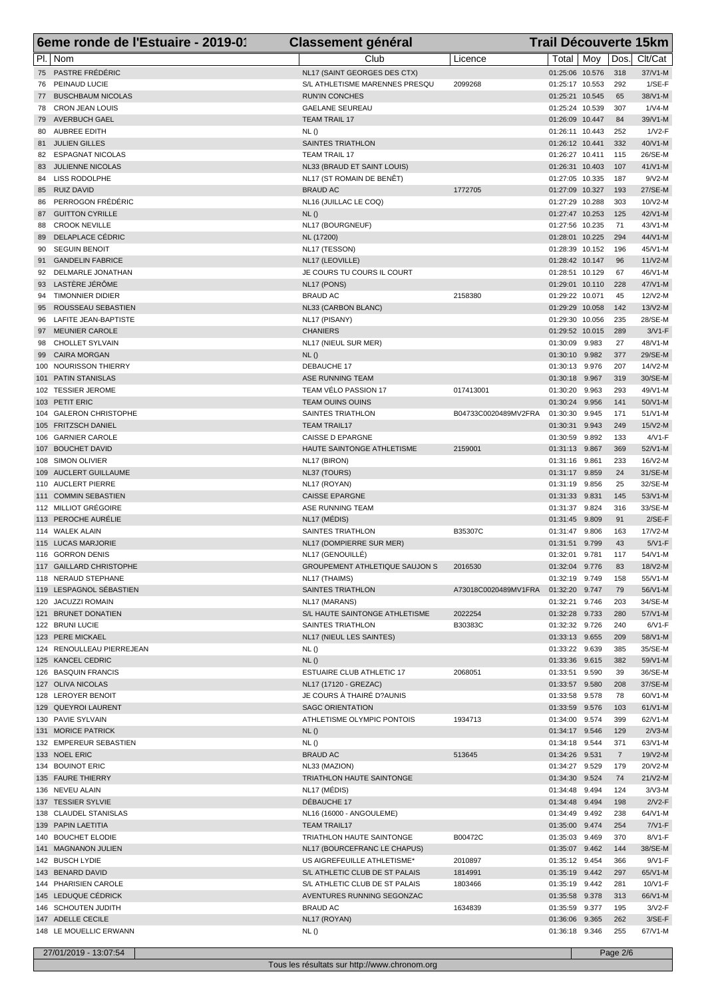|    | 6eme ronde de l'Estuaire - 2019-01             | <b>Classement général</b>                                 |                      | <b>Trail Découverte 15km</b>       |                |                       |                      |
|----|------------------------------------------------|-----------------------------------------------------------|----------------------|------------------------------------|----------------|-----------------------|----------------------|
|    | PI.   Nom                                      | Club                                                      | Licence              | Total                              | Mov            | Dos.                  | Clt/Cat              |
|    | 75 PASTRE FRÉDÉRIC                             | NL17 (SAINT GEORGES DES CTX)                              |                      | 01:25:06 10.576                    |                | 318                   | 37/V1-M              |
|    | 76 PEINAUD LUCIE                               | S/L ATHLETISME MARENNES PRESQU                            | 2099268              | 01:25:17 10.553                    |                | 292                   | $1/SE-F$             |
|    | 77 BUSCHBAUM NICOLAS                           | <b>RUN'IN CONCHES</b>                                     |                      | 01:25:21 10.545                    |                | 65                    | 38/V1-M              |
|    | 78 CRON JEAN LOUIS<br>79 AVERBUCH GAEL         | <b>GAELANE SEUREAU</b><br><b>TEAM TRAIL 17</b>            |                      | 01:25:24 10.539<br>01:26:09 10.447 |                | 307<br>84             | $1/N4$ -M<br>39/V1-M |
|    | 80 AUBREE EDITH                                | NL()                                                      |                      | 01:26:11 10.443                    |                | 252                   | $1/V2-F$             |
|    | 81 JULIEN GILLES                               | <b>SAINTES TRIATHLON</b>                                  |                      | 01:26:12 10.441                    |                | 332                   | 40/V1-M              |
|    | 82 ESPAGNAT NICOLAS                            | <b>TEAM TRAIL 17</b>                                      |                      | 01:26:27 10.411                    |                | 115                   | 26/SE-M              |
| 83 | <b>JULIENNE NICOLAS</b>                        | NL33 (BRAUD ET SAINT LOUIS)                               |                      | 01:26:31 10.403                    |                | 107                   | $41/N1-M$            |
|    | 84 LISS RODOLPHE                               | NL17 (ST ROMAIN DE BENÊT)                                 |                      | 01:27:05 10.335                    |                | 187                   | $9/N2-M$             |
|    | 85 RUIZ DAVID<br>86 PERROGON FRÉDÉRIC          | <b>BRAUD AC</b>                                           | 1772705              | 01:27:09 10.327<br>01:27:29 10.288 |                | 193<br>303            | 27/SE-M<br>10/V2-M   |
|    | 87 GUITTON CYRILLE                             | NL16 (JUILLAC LE COQ)<br>NL()                             |                      | 01:27:47 10.253                    |                | 125                   | 42/V1-M              |
|    | 88 CROOK NEVILLE                               | NL17 (BOURGNEUF)                                          |                      | 01:27:56 10.235                    |                | 71                    | 43/V1-M              |
| 89 | DELAPLACE CÉDRIC                               | NL (17200)                                                |                      | 01:28:01 10.225                    |                | 294                   | 44/V1-M              |
|    | 90 SEGUIN BENOIT                               | NL17 (TESSON)                                             |                      | 01:28:39 10.152                    |                | 196                   | 45/V1-M              |
| 91 | <b>GANDELIN FABRICE</b>                        | NL17 (LEOVILLE)                                           |                      | 01:28:42 10.147                    |                | 96                    | $11/N2-M$            |
| 92 | DELMARLE JONATHAN                              | JE COURS TU COURS IL COURT                                |                      | 01:28:51 10.129                    |                | 67                    | 46/V1-M              |
|    | 93 LASTÈRE JÉRÔME<br>94 TIMONNIER DIDIER       | NL17 (PONS)<br><b>BRAUD AC</b>                            | 2158380              | 01:29:01 10.110<br>01:29:22 10.071 |                | 228<br>45             | 47/V1-M<br>12/V2-M   |
|    | 95 ROUSSEAU SEBASTIEN                          | NL33 (CARBON BLANC)                                       |                      | 01:29:29 10.058                    |                | 142                   | 13/V2-M              |
|    | 96 LAFITE JEAN-BAPTISTE                        | NL17 (PISANY)                                             |                      | 01:29:30 10.056                    |                | 235                   | 28/SE-M              |
| 97 | <b>MEUNIER CAROLE</b>                          | <b>CHANIERS</b>                                           |                      | 01:29:52 10.015                    |                | 289                   | $3/V1-F$             |
|    | 98 CHOLLET SYLVAIN                             | NL17 (NIEUL SUR MER)                                      |                      | 01:30:09                           | 9.983          | 27                    | 48/V1-M              |
|    | 99 CAIRA MORGAN                                | NL()                                                      |                      | 01:30:10                           | 9.982          | 377                   | 29/SE-M              |
|    | 100 NOURISSON THIERRY                          | DEBAUCHE 17                                               |                      | 01:30:13                           | 9.976          | 207                   | 14/V2-M              |
|    | 101 PATIN STANISLAS<br>102 TESSIER JEROME      | ASE RUNNING TEAM<br>TEAM VÉLO PASSION 17                  | 017413001            | 01:30:18<br>01:30:20               | 9.967<br>9.963 | 319<br>293            | 30/SE-M<br>49/V1-M   |
|    | 103 PETIT ERIC                                 | TEAM OUINS OUINS                                          |                      | 01:30:24 9.956                     |                | 141                   | 50/V1-M              |
|    | 104 GALERON CHRISTOPHE                         | <b>SAINTES TRIATHLON</b>                                  | B04733C0020489MV2FRA | 01:30:30                           | 9.945          | 171                   | 51/V1-M              |
|    | 105 FRITZSCH DANIEL                            | <b>TEAM TRAIL17</b>                                       |                      | 01:30:31                           | 9.943          | 249                   | 15/V2-M              |
|    | 106 GARNIER CAROLE                             | <b>CAISSE D EPARGNE</b>                                   |                      | 01:30:59                           | 9.892          | 133                   | $4/VI$ -F            |
|    | 107 BOUCHET DAVID                              | HAUTE SAINTONGE ATHLETISME                                | 2159001              | 01:31:13                           | 9.867          | 369                   | 52/V1-M              |
|    | 108 SIMON OLIVIER                              | NL17 (BIRON)                                              |                      | 01:31:16                           | 9.861          | 233                   | 16/V2-M              |
|    | 109 AUCLERT GUILLAUME<br>110 AUCLERT PIERRE    | NL37 (TOURS)<br>NL17 (ROYAN)                              |                      | 01:31:17 9.859<br>01:31:19         | 9.856          | 24<br>25              | 31/SE-M<br>32/SE-M   |
|    | 111 COMMIN SEBASTIEN                           | <b>CAISSE EPARGNE</b>                                     |                      | 01:31:33                           | 9.831          | 145                   | 53/V1-M              |
|    | 112 MILLIOT GRÉGOIRE                           | ASE RUNNING TEAM                                          |                      | 01:31:37                           | 9.824          | 316                   | 33/SE-M              |
|    | 113 PEROCHE AURÉLIE                            | NL17 (MÉDIS)                                              |                      | 01:31:45                           | 9.809          | 91                    | $2/SE-F$             |
|    | 114 WALEK ALAIN                                | <b>SAINTES TRIATHLON</b>                                  | B35307C              | 01:31:47                           | 9.806          | 163                   | 17/V2-M              |
|    | 115 LUCAS MARJORIE                             | NL17 (DOMPIERRE SUR MER)                                  |                      | 01:31:51                           | 9.799          | 43                    | $5/V1-F$             |
|    | 116 GORRON DENIS                               | NL17 (GENOUILLÉ)<br>GROUPEMENT ATHLETIQUE SAUJON S        | 2016530              | 01:32:01 9.781<br>01:32:04 9.776   |                | 117<br>83             | 54/V1-M<br>18/V2-M   |
|    | 117 GAILLARD CHRISTOPHE<br>118 NERAUD STEPHANE | NL17 (THAIMS)                                             |                      | 01:32:19 9.749                     |                | 158                   | 55/V1-M              |
|    | 119 LESPAGNOL SÉBASTIEN                        | SAINTES TRIATHLON                                         | A73018C0020489MV1FRA | 01:32:20                           | 9.747          | 79                    | 56/V1-M              |
|    | 120 JACUZZI ROMAIN                             | NL17 (MARANS)                                             |                      | 01:32:21                           | 9.746          | 203                   | 34/SE-M              |
|    | 121 BRUNET DONATIEN                            | S/L HAUTE SAINTONGE ATHLETISME                            | 2022254              | 01:32:28                           | 9.733          | 280                   | 57/V1-M              |
|    | 122 BRUNI LUCIE                                | SAINTES TRIATHLON                                         | B30383C              | 01:32:32 9.726                     |                | 240                   | $6/V1-F$             |
|    | 123 PERE MICKAEL                               | NL17 (NIEUL LES SAINTES)                                  |                      | 01:33:13 9.655                     |                | 209                   | 58/V1-M              |
|    | 124 RENOULLEAU PIERREJEAN<br>125 KANCEL CEDRIC | NL()<br>NL()                                              |                      | 01:33:22 9.639<br>01:33:36         | 9.615          | 385<br>382            | 35/SE-M<br>59/V1-M   |
|    | 126 BASQUIN FRANCIS                            | <b>ESTUAIRE CLUB ATHLETIC 17</b>                          | 2068051              | 01:33:51                           | 9.590          | 39                    | 36/SE-M              |
|    | 127 OLIVA NICOLAS                              | NL17 (17120 - GREZAC)                                     |                      | 01:33:57 9.580                     |                | 208                   | 37/SE-M              |
|    | 128 LEROYER BENOIT                             | JE COURS À THAIRÉ D?AUNIS                                 |                      | 01:33:58                           | 9.578          | 78                    | 60/V1-M              |
|    | 129 QUEYROI LAURENT                            | <b>SAGC ORIENTATION</b>                                   |                      | 01:33:59                           | 9.576          | 103                   | 61/V1-M              |
|    | 130 PAVIE SYLVAIN                              | ATHLETISME OLYMPIC PONTOIS                                | 1934713              | 01:34:00                           | 9.574          | 399                   | 62/V1-M              |
|    | 131 MORICE PATRICK                             | NL()                                                      |                      | 01:34:17 9.546                     |                | 129                   | $2/N3-M$             |
|    | 132 EMPEREUR SEBASTIEN<br>133 NOEL ERIC        | NL()<br><b>BRAUD AC</b>                                   | 513645               | 01:34:18 9.544<br>01:34:26         | 9.531          | 371<br>$\overline{7}$ | 63/V1-M<br>19/V2-M   |
|    | 134 BOUINOT ERIC                               | NL33 (MAZION)                                             |                      | 01:34:27 9.529                     |                | 179                   | 20/V2-M              |
|    | 135 FAURE THIERRY                              | TRIATHLON HAUTE SAINTONGE                                 |                      | 01:34:30 9.524                     |                | 74                    | 21/V2-M              |
|    | 136 NEVEU ALAIN                                | NL17 (MEDIS)                                              |                      | 01:34:48                           | 9.494          | 124                   | $3/N3-M$             |
|    | 137 TESSIER SYLVIE                             | DÉBAUCHE 17                                               |                      | 01:34:48                           | 9.494          | 198                   | $2/V2-F$             |
|    | 138 CLAUDEL STANISLAS                          | NL16 (16000 - ANGOULEME)                                  |                      | 01:34:49 9.492                     |                | 238                   | 64/V1-M              |
|    | 139 PAPIN LAETITIA                             | <b>TEAM TRAIL17</b>                                       |                      | 01:35:00                           | 9.474          | 254                   | $7/V1-F$             |
|    | 140 BOUCHET ELODIE<br>141 MAGNANON JULIEN      | TRIATHLON HAUTE SAINTONGE<br>NL17 (BOURCEFRANC LE CHAPUS) | B00472C              | 01:35:03<br>01:35:07 9.462         | 9.469          | 370<br>144            | 8/V1-F<br>38/SE-M    |
|    | 142 BUSCH LYDIE                                | US AIGREFEUILLE ATHLETISME*                               | 2010897              | 01:35:12 9.454                     |                | 366                   | $9/V1-F$             |
|    | 143 BENARD DAVID                               | S/L ATHLETIC CLUB DE ST PALAIS                            | 1814991              | 01:35:19                           | 9.442          | 297                   | 65/V1-M              |
|    | 144 PHARISIEN CAROLE                           | S/L ATHLETIC CLUB DE ST PALAIS                            | 1803466              | 01:35:19 9.442                     |                | 281                   | 10/V1-F              |
|    | 145 LEDUQUE CÉDRICK                            | AVENTURES RUNNING SEGONZAC                                |                      | 01:35:58 9.378                     |                | 313                   | 66/V1-M              |
|    | 146 SCHOUTEN JUDITH                            | <b>BRAUD AC</b>                                           | 1634839              | 01:35:59                           | 9.377          | 195                   | $3/V2-F$             |
|    | 147 ADELLE CECILE                              | NL17 (ROYAN)                                              |                      | 01:36:06                           | 9.365          | 262                   | $3/SE-F$             |
|    | 148 LE MOUELLIC ERWANN                         | NL()                                                      |                      | 01:36:18 9.346                     |                | 255                   | 67/V1-M              |
|    | 27/01/2019 - 13:07:54                          |                                                           |                      |                                    |                | Page 2/6              |                      |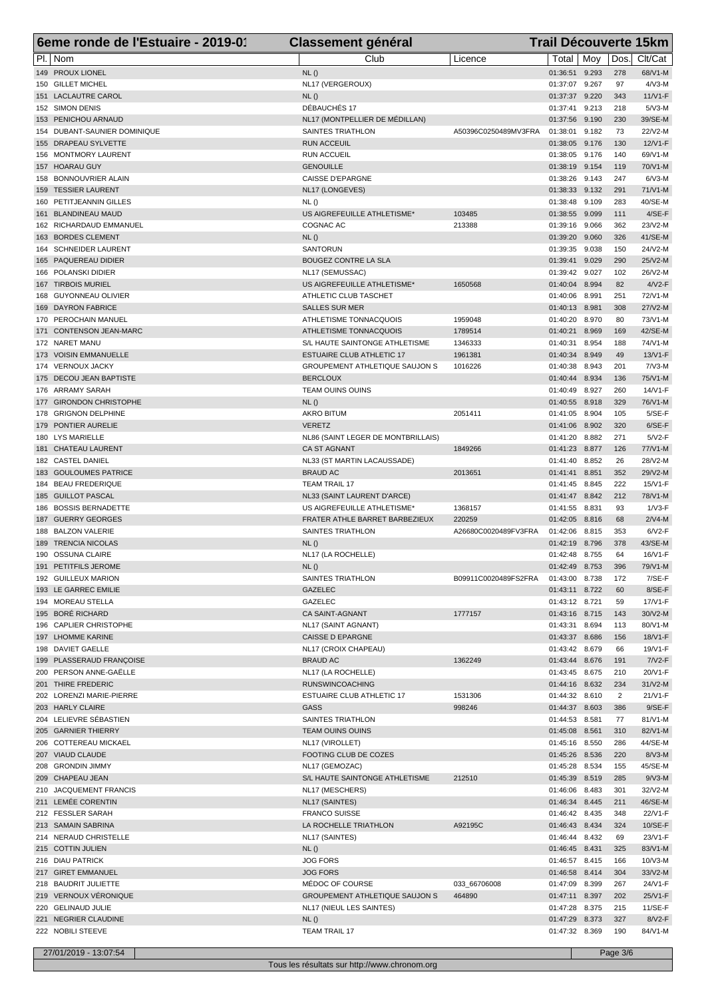|                 | 6eme ronde de l'Estuaire - 2019-01         | <b>Classement général</b>                           |                      |                                  |                |                | <b>Trail Découverte 15km</b> |
|-----------------|--------------------------------------------|-----------------------------------------------------|----------------------|----------------------------------|----------------|----------------|------------------------------|
| PI.   Nom       |                                            | Club                                                | Licence              | Total   Mov                      |                | Dos.           | Clt/Cat                      |
|                 | 149 PROUX LIONEL                           | NL()                                                |                      | 01:36:51                         | 9.293          | 278            | 68/V1-M                      |
|                 | 150 GILLET MICHEL                          | NL17 (VERGEROUX)                                    |                      | 01:37:07 9.267                   |                | 97             | $4/\sqrt{3}$ -M              |
|                 | 151 LACLAUTRE CAROL                        | NL()                                                |                      | 01:37:37                         | 9.220          | 343            | $11/V1-F$                    |
| 152 SIMON DENIS |                                            | DÉBAUCHÉS 17                                        |                      | 01:37:41                         | 9.213          | 218            | $5/N3-M$                     |
|                 | 153 PENICHOU ARNAUD                        | NL17 (MONTPELLIER DE MÉDILLAN)                      |                      | 01:37:56                         | 9.190          | 230            | 39/SE-M                      |
|                 | 154 DUBANT-SAUNIER DOMINIQUE               | SAINTES TRIATHLON                                   | A50396C0250489MV3FRA | 01:38:01                         | 9.182          | 73             | 22/V2-M                      |
|                 | 155 DRAPEAU SYLVETTE                       | <b>RUN ACCEUIL</b><br><b>RUN ACCUEIL</b>            |                      | 01:38:05 9.176                   |                | 130<br>140     | 12/V1-F                      |
| 157 HOARAU GUY  | 156 MONTMORY LAURENT                       | <b>GENOUILLE</b>                                    |                      | 01:38:05<br>01:38:19             | 9.176<br>9.154 | 119            | 69/V1-M<br>70/V1-M           |
|                 | 158 BONNOUVRIER ALAIN                      | <b>CAISSE D'EPARGNE</b>                             |                      | 01:38:26                         | 9.143          | 247            | $6/N3-M$                     |
|                 | 159 TESSIER LAURENT                        | NL17 (LONGEVES)                                     |                      | 01:38:33 9.132                   |                | 291            | $71/N1-M$                    |
|                 | 160 PETITJEANNIN GILLES                    | NL()                                                |                      | 01:38:48 9.109                   |                | 283            | 40/SE-M                      |
|                 | 161 BLANDINEAU MAUD                        | US AIGREFEUILLE ATHLETISME*                         | 103485               | 01:38:55 9.099                   |                | 111            | $4/SE-F$                     |
|                 | 162 RICHARDAUD EMMANUEL                    | COGNAC AC                                           | 213388               | 01:39:16                         | 9.066          | 362            | 23/V2-M                      |
|                 | 163 BORDES CLEMENT                         | NL()                                                |                      | 01:39:20                         | 9.060          | 326            | 41/SE-M                      |
|                 | 164 SCHNEIDER LAURENT                      | <b>SANTORUN</b>                                     |                      | 01:39:35                         | 9.038          | 150            | 24/V2-M                      |
|                 | 165 PAQUEREAU DIDIER                       | <b>BOUGEZ CONTRE LA SLA</b>                         |                      | 01:39:41                         | 9.029          | 290            | 25/V2-M                      |
|                 | 166 POLANSKI DIDIER                        | NL17 (SEMUSSAC)                                     |                      | 01:39:42                         | 9.027          | 102            | 26/V2-M                      |
|                 | 167 TIRBOIS MURIEL                         | US AIGREFEUILLE ATHLETISME*                         | 1650568              | 01:40:04                         | 8.994          | 82             | $4/V2-F$                     |
|                 | 168 GUYONNEAU OLIVIER                      | ATHLETIC CLUB TASCHET                               |                      | 01:40:06                         | 8.991          | 251            | 72/V1-M                      |
|                 | 169 DAYRON FABRICE<br>170 PEROCHAIN MANUEL | <b>SALLES SUR MER</b><br>ATHLETISME TONNACQUOIS     | 1959048              | 01:40:13<br>01:40:20             | 8.981<br>8.970 | 308<br>80      | 27/V2-M<br>73/V1-M           |
|                 | 171 CONTENSON JEAN-MARC                    | ATHLETISME TONNACQUOIS                              | 1789514              | 01:40:21                         | 8.969          | 169            | 42/SE-M                      |
| 172 NARET MANU  |                                            | S/L HAUTE SAINTONGE ATHLETISME                      | 1346333              | 01:40:31                         | 8.954          | 188            | 74/V1-M                      |
|                 | 173 VOISIN EMMANUELLE                      | <b>ESTUAIRE CLUB ATHLETIC 17</b>                    | 1961381              | 01:40:34                         | 8.949          | 49             | 13/V1-F                      |
|                 | 174 VERNOUX JACKY                          | <b>GROUPEMENT ATHLETIQUE SAUJON S</b>               | 1016226              | 01:40:38                         | 8.943          | 201            | $7/N3-M$                     |
|                 | 175 DECOU JEAN BAPTISTE                    | <b>BERCLOUX</b>                                     |                      | 01:40:44                         | 8.934          | 136            | 75/V1-M                      |
|                 | 176 ARRAMY SARAH                           | TEAM OUINS OUINS                                    |                      | 01:40:49                         | 8.927          | 260            | 14/V1-F                      |
|                 | 177 GIRONDON CHRISTOPHE                    | NL()                                                |                      | 01:40:55                         | 8.918          | 329            | 76/V1-M                      |
|                 | 178 GRIGNON DELPHINE                       | AKRO BITUM                                          | 2051411              | 01:41:05                         | 8.904          | 105            | $5/SE-F$                     |
|                 | 179 PONTIER AURELIE                        | <b>VERETZ</b>                                       |                      | 01:41:06                         | 8.902          | 320            | $6/SE-F$                     |
|                 | 180 LYS MARIELLE                           | NL86 (SAINT LEGER DE MONTBRILLAIS)                  |                      | 01:41:20                         | 8.882          | 271            | $5/V2-F$                     |
|                 | 181 CHATEAU LAURENT                        | <b>CA ST AGNANT</b>                                 | 1849266              | 01:41:23                         | 8.877          | 126            | 77/V1-M                      |
|                 | 182 CASTEL DANIEL                          | NL33 (ST MARTIN LACAUSSADE)                         |                      | 01:41:40                         | 8.852          | 26             | 28/V2-M                      |
|                 | 183 GOULOUMES PATRICE                      | <b>BRAUD AC</b>                                     | 2013651              | 01:41:41                         | 8.851          | 352            | 29/V2-M                      |
|                 | 184 BEAU FREDERIQUE<br>185 GUILLOT PASCAL  | <b>TEAM TRAIL 17</b><br>NL33 (SAINT LAURENT D'ARCE) |                      | 01:41:45<br>01:41:47             | 8.845<br>8.842 | 222<br>212     | 15/V1-F<br>78/V1-M           |
|                 | 186 BOSSIS BERNADETTE                      | US AIGREFEUILLE ATHLETISME*                         | 1368157              | 01:41:55                         | 8.831          | 93             | $1/\nu$ 3-F                  |
|                 | 187 GUERRY GEORGES                         | FRATER ATHLE BARRET BARBEZIEUX                      | 220259               | 01:42:05                         | 8.816          | 68             | $2/N4-M$                     |
|                 | 188 BALZON VALERIE                         | SAINTES TRIATHLON                                   | A26680C0020489FV3FRA | 01:42:06                         | 8.815          | 353            | $6/V2-F$                     |
|                 | 189 TRENCIA NICOLAS                        | NL()                                                |                      | 01:42:19                         | 8.796          | 378            | 43/SE-M                      |
|                 | 190 OSSUNA CLAIRE                          | NL17 (LA ROCHELLE)                                  |                      | 01:42:48 8.755                   |                | 64             | 16/V1-F                      |
|                 | 191 PETITFILS JEROME                       | NL()                                                |                      | 01:42:49 8.753                   |                | 396            | 79/V1-M                      |
|                 | 192 GUILLEUX MARION                        | SAINTES TRIATHLON                                   | B09911C0020489FS2FRA | 01:43:00 8.738                   |                | 172            | $7/SE-F$                     |
|                 | 193 LE GARREC EMILIE                       | <b>GAZELEC</b>                                      |                      | 01:43:11 8.722                   |                | 60             | $8/SE-F$                     |
|                 | 194 MOREAU STELLA                          | GAZELEC                                             |                      | 01:43:12 8.721                   |                | 59             | 17/V1-F                      |
|                 | 195 BORÉ RICHARD                           | CA SAINT-AGNANT                                     | 1777157              | 01:43:16 8.715                   |                | 143            | 30/V2-M                      |
|                 | 196 CAPLIER CHRISTOPHE                     | NL17 (SAINT AGNANT)                                 |                      | 01:43:31                         | 8.694          | 113            | 80/V1-M                      |
|                 | 197 LHOMME KARINE<br>198 DAVIET GAELLE     | CAISSE D EPARGNE<br>NL17 (CROIX CHAPEAU)            |                      | 01:43:37 8.686<br>01:43:42 8.679 |                | 156<br>66      | 18/V1-F<br>19/V1-F           |
|                 | 199 PLASSERAUD FRANÇOISE                   | <b>BRAUD AC</b>                                     | 1362249              | 01:43:44 8.676                   |                | 191            | $7/N2-F$                     |
|                 | 200 PERSON ANNE-GAËLLE                     | NL17 (LA ROCHELLE)                                  |                      | 01:43:45 8.675                   |                | 210            | 20/V1-F                      |
|                 | 201 THIRE FREDERIC                         | <b>RUNSWINCOACHING</b>                              |                      | 01:44:16 8.632                   |                | 234            | 31/V2-M                      |
|                 | 202 LORENZI MARIE-PIERRE                   | ESTUAIRE CLUB ATHLETIC 17                           | 1531306              | 01:44:32 8.610                   |                | $\overline{2}$ | 21/V1-F                      |
|                 | 203 HARLY CLAIRE                           | <b>GASS</b>                                         | 998246               | 01:44:37 8.603                   |                | 386            | $9/SE-F$                     |
|                 | 204 LELIEVRE SÉBASTIEN                     | SAINTES TRIATHLON                                   |                      | 01:44:53 8.581                   |                | 77             | 81/V1-M                      |
|                 | 205 GARNIER THIERRY                        | <b>TEAM OUINS OUINS</b>                             |                      | 01:45:08 8.561                   |                | 310            | 82/V1-M                      |
|                 | 206 COTTEREAU MICKAEL                      | NL17 (VIROLLET)                                     |                      | 01:45:16 8.550                   |                | 286            | 44/SE-M                      |
|                 | 207 VIAUD CLAUDE                           | FOOTING CLUB DE COZES                               |                      | 01:45:26 8.536                   |                | 220            | $8/N3-M$                     |
|                 | 208 GRONDIN JIMMY                          | NL17 (GEMOZAC)                                      |                      | 01:45:28 8.534                   |                | 155            | 45/SE-M                      |
|                 | 209 CHAPEAU JEAN                           | S/L HAUTE SAINTONGE ATHLETISME                      | 212510               | 01:45:39 8.519                   |                | 285            | $9/N3-M$                     |
|                 | 210 JACQUEMENT FRANCIS                     | NL17 (MESCHERS)                                     |                      | 01:46:06 8.483                   |                | 301            | 32/V2-M                      |
|                 | 211 LEMÉE CORENTIN                         | NL17 (SAINTES)                                      |                      | 01:46:34 8.445                   |                | 211            | 46/SE-M                      |
|                 | 212 FESSLER SARAH<br>213 SAMAIN SABRINA    | <b>FRANCO SUISSE</b><br>LA ROCHELLE TRIATHLON       | A92195C              | 01:46:42 8.435<br>01:46:43 8.434 |                | 348<br>324     | 22/V1-F<br>10/SE-F           |
|                 | 214 NERAUD CHRISTELLE                      | NL17 (SAINTES)                                      |                      | 01:46:44 8.432                   |                | 69             | 23/V1-F                      |
|                 | 215 COTTIN JULIEN                          | NL()                                                |                      | 01:46:45 8.431                   |                | 325            | 83/V1-M                      |
|                 | 216 DIAU PATRICK                           | <b>JOG FORS</b>                                     |                      | 01:46:57 8.415                   |                | 166            | 10/V3-M                      |
|                 | 217 GIRET EMMANUEL                         | <b>JOG FORS</b>                                     |                      | 01:46:58 8.414                   |                | 304            | 33/V2-M                      |
|                 | 218 BAUDRIT JULIETTE                       | MÉDOC OF COURSE                                     | 033_66706008         | 01:47:09 8.399                   |                | 267            | 24/V1-F                      |
|                 | 219 VERNOUX VÉRONIQUE                      | <b>GROUPEMENT ATHLETIQUE SAUJON S</b>               | 464890               | 01:47:11 8.397                   |                | 202            | 25/V1-F                      |
|                 | 220 GELINAUD JULIE                         | NL17 (NIEUL LES SAINTES)                            |                      | 01:47:28 8.375                   |                | 215            | 11/SE-F                      |
|                 | 221 NEGRIER CLAUDINE                       | NL()                                                |                      | 01:47:29 8.373                   |                | 327            | 8/V2-F                       |
|                 | 222 NOBILI STEEVE                          | <b>TEAM TRAIL 17</b>                                |                      | 01:47:32 8.369                   |                | 190            | 84/V1-M                      |
|                 |                                            |                                                     |                      |                                  |                |                |                              |
|                 | 27/01/2019 - 13:07:54                      |                                                     |                      |                                  |                | Page 3/6       |                              |

Tous les résultats sur http://www.chronom.org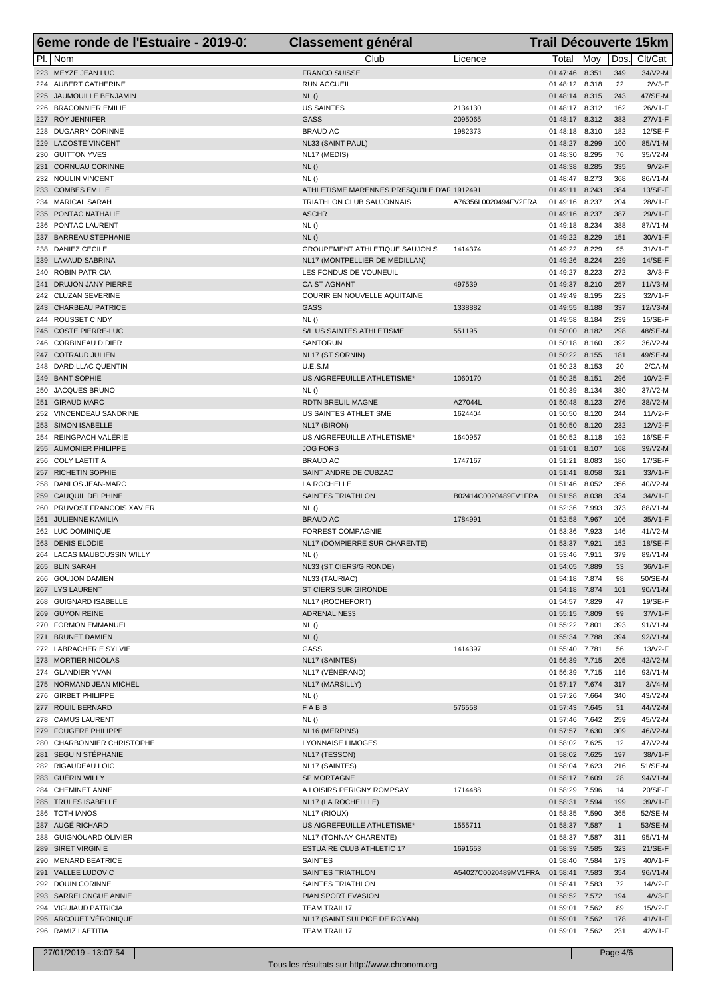| 6eme ronde de l'Estuaire - 2019-01          | <b>Classement général</b>                   |                      |                                  | <b>Trail Découverte 15km</b> |                     |                     |  |  |
|---------------------------------------------|---------------------------------------------|----------------------|----------------------------------|------------------------------|---------------------|---------------------|--|--|
| PI.   Nom                                   | Club                                        | Licence              | Total   Moy                      |                              | Dos.                | Clt/Cat             |  |  |
| 223 MEYZE JEAN LUC                          | <b>FRANCO SUISSE</b>                        |                      | 01:47:46 8.351                   |                              | 349                 | 34/V2-M             |  |  |
| 224 AUBERT CATHERINE                        | <b>RUN ACCUEIL</b>                          |                      | 01:48:12 8.318                   |                              | 22                  | $2/V3-F$            |  |  |
| 225 JAUMOUILLE BENJAMIN                     | NL()                                        |                      | 01:48:14 8.315                   |                              | 243                 | 47/SE-M             |  |  |
| 226 BRACONNIER EMILIE                       | <b>US SAINTES</b>                           | 2134130              | 01:48:17                         | 8.312                        | 162                 | 26/V1-F             |  |  |
| 227 ROY JENNIFER                            | <b>GASS</b>                                 | 2095065              | 01:48:17 8.312                   |                              | 383                 | 27/V1-F             |  |  |
| 228 DUGARRY CORINNE                         | <b>BRAUD AC</b>                             | 1982373              | 01:48:18 8.310                   |                              | 182                 | 12/SE-F             |  |  |
| 229 LACOSTE VINCENT                         | NL33 (SAINT PAUL)                           |                      | 01:48:27                         | 8.299                        | 100                 | 85/V1-M             |  |  |
| 230 GUITTON YVES<br>231 CORNUAU CORINNE     | NL17 (MEDIS)<br>NL()                        |                      | 01:48:30<br>01:48:38             | 8.295<br>8.285               | 76<br>335           | 35/V2-M<br>$9/V2-F$ |  |  |
| 232 NOULIN VINCENT                          | NL()                                        |                      | 01:48:47                         | 8.273                        | 368                 | 86/V1-M             |  |  |
| 233 COMBES EMILIE                           | ATHLETISME MARENNES PRESQU'ILE D'AF 1912491 |                      | 01:49:11                         | 8.243                        | 384                 | 13/SE-F             |  |  |
| 234 MARICAL SARAH                           | TRIATHLON CLUB SAUJONNAIS                   | A76356L0020494FV2FRA | 01:49:16                         | 8.237                        | 204                 | 28/V1-F             |  |  |
| 235 PONTAC NATHALIE                         | <b>ASCHR</b>                                |                      | 01:49:16                         | 8.237                        | 387                 | 29/V1-F             |  |  |
| 236 PONTAC LAURENT                          | NL()                                        |                      | 01:49:18                         | 8.234                        | 388                 | 87/V1-M             |  |  |
| 237 BARREAU STEPHANIE                       | NL()                                        |                      | 01:49:22 8.229                   |                              | 151                 | 30/V1-F             |  |  |
| 238 DANIEZ CECILE                           | <b>GROUPEMENT ATHLETIQUE SAUJON S</b>       | 1414374              | 01:49:22                         | 8.229                        | 95                  | 31/V1-F             |  |  |
| 239 LAVAUD SABRINA                          | NL17 (MONTPELLIER DE MÉDILLAN)              |                      | 01:49:26                         | 8.224                        | 229                 | 14/SE-F             |  |  |
| 240 ROBIN PATRICIA                          | LES FONDUS DE VOUNEUIL                      |                      | 01:49:27 8.223                   |                              | 272                 | $3/V3-F$            |  |  |
| 241 DRUJON JANY PIERRE                      | <b>CA ST AGNANT</b>                         | 497539               | 01:49:37 8.210                   |                              | 257                 | $11/N3-M$           |  |  |
| 242 CLUZAN SEVERINE<br>243 CHARBEAU PATRICE | COURIR EN NOUVELLE AQUITAINE                | 1338882              | 01:49:49                         | 8.195<br>8.188               | 223                 | 32/V1-F             |  |  |
| 244 ROUSSET CINDY                           | <b>GASS</b><br>NL()                         |                      | 01:49:55<br>01:49:58             | 8.184                        | 337<br>239          | 12/V3-M<br>15/SE-F  |  |  |
| 245 COSTE PIERRE-LUC                        | S/L US SAINTES ATHLETISME                   | 551195               | 01:50:00                         | 8.182                        | 298                 | 48/SE-M             |  |  |
| 246 CORBINEAU DIDIER                        | <b>SANTORUN</b>                             |                      | 01:50:18                         | 8.160                        | 392                 | 36/V2-M             |  |  |
| 247 COTRAUD JULIEN                          | NL17 (ST SORNIN)                            |                      | 01:50:22                         | 8.155                        | 181                 | 49/SE-M             |  |  |
| 248 DARDILLAC QUENTIN                       | U.E.S.M                                     |                      | 01:50:23                         | 8.153                        | 20                  | $2/CA-M$            |  |  |
| 249 BANT SOPHIE                             | US AIGREFEUILLE ATHLETISME*                 | 1060170              | 01:50:25                         | 8.151                        | 296                 | 10/V2-F             |  |  |
| 250 JACQUES BRUNO                           | NL()                                        |                      | 01:50:39                         | 8.134                        | 380                 | 37/V2-M             |  |  |
| 251 GIRAUD MARC                             | <b>RDTN BREUIL MAGNE</b>                    | A27044L              | 01:50:48 8.123                   |                              | 276                 | 38/V2-M             |  |  |
| 252 VINCENDEAU SANDRINE                     | US SAINTES ATHLETISME                       | 1624404              | 01:50:50                         | 8.120                        | 244                 | 11/V2-F             |  |  |
| 253 SIMON ISABELLE                          | NL17 (BIRON)                                |                      | 01:50:50                         | 8.120                        | 232                 | 12/V2-F             |  |  |
| 254 REINGPACH VALÉRIE                       | US AIGREFEUILLE ATHLETISME*                 | 1640957              | 01:50:52                         | 8.118                        | 192                 | 16/SE-F             |  |  |
| 255 AUMONIER PHILIPPE                       | <b>JOG FORS</b>                             |                      | 01:51:01                         | 8.107                        | 168                 | 39/V2-M             |  |  |
| 256 COLY LAETITIA                           | <b>BRAUD AC</b>                             | 1747167              | 01:51:21                         | 8.083                        | 180                 | 17/SE-F             |  |  |
| 257 RICHETIN SOPHIE<br>258 DANLOS JEAN-MARC | SAINT ANDRE DE CUBZAC<br>LA ROCHELLE        |                      | 01:51:41<br>01:51:46             | 8.058<br>8.052               | 321<br>356          | 33/V1-F<br>40/V2-M  |  |  |
| 259 CAUQUIL DELPHINE                        | <b>SAINTES TRIATHLON</b>                    | B02414C0020489FV1FRA | 01:51:58                         | 8.038                        | 334                 | 34/V1-F             |  |  |
| 260 PRUVOST FRANCOIS XAVIER                 | NL()                                        |                      | 01:52:36                         | 7.993                        | 373                 | 88/V1-M             |  |  |
| 261 JULIENNE KAMILIA                        | <b>BRAUD AC</b>                             | 1784991              | 01:52:58                         | 7.967                        | 106                 | 35/V1-F             |  |  |
| 262 LUC DOMINIQUE                           | <b>FORREST COMPAGNIE</b>                    |                      | 01:53:36                         | 7.923                        | 146                 | 41/V2-M             |  |  |
| 263 DENIS ELODIE                            | NL17 (DOMPIERRE SUR CHARENTE)               |                      | 01:53:37                         | 7.921                        | 152                 | 18/SE-F             |  |  |
| 264 LACAS MAUBOUSSIN WILLY                  | NL()                                        |                      | 01:53:46 7.911                   |                              | 379                 | 89/V1-M             |  |  |
| 265 BLIN SARAH                              | NL33 (ST CIERS/GIRONDE)                     |                      | 01:54:05 7.889                   |                              | 33                  | 36/V1-F             |  |  |
| 266 GOUJON DAMIEN                           | NL33 (TAURIAC)                              |                      | 01:54:18 7.874                   |                              | 98                  | 50/SE-M             |  |  |
| 267 LYS LAURENT                             | ST CIERS SUR GIRONDE                        |                      | 01:54:18 7.874                   |                              | 101                 | 90/V1-M             |  |  |
| 268 GUIGNARD ISABELLE                       | NL17 (ROCHEFORT)                            |                      | 01:54:57 7.829                   |                              | 47                  | 19/SE-F             |  |  |
| 269 GUYON REINE                             | ADRENALINE33                                |                      | 01:55:15 7.809                   |                              | 99                  | 37/V1-F             |  |  |
| 270 FORMON EMMANUEL<br>271 BRUNET DAMIEN    | NL()                                        |                      | 01:55:22 7.801                   |                              | 393                 | $91/V1-M$           |  |  |
| 272 LABRACHERIE SYLVIE                      | NL()<br>GASS                                | 1414397              | 01:55:34 7.788<br>01:55:40 7.781 |                              | 394<br>56           | 92/V1-M<br>13/V2-F  |  |  |
| 273 MORTIER NICOLAS                         | NL17 (SAINTES)                              |                      | 01:56:39 7.715                   |                              | 205                 | 42/V2-M             |  |  |
| 274 GLANDIER YVAN                           | NL17 (VÉNÉRAND)                             |                      | 01:56:39 7.715                   |                              | 116                 | 93/V1-M             |  |  |
| 275 NORMAND JEAN MICHEL                     | NL17 (MARSILLY)                             |                      | 01:57:17 7.674                   |                              | 317                 | $3/N4-M$            |  |  |
| 276 GIRBET PHILIPPE                         | <b>NL()</b>                                 |                      | 01:57:26 7.664                   |                              | 340                 | 43/V2-M             |  |  |
| 277 ROUIL BERNARD                           | FABB                                        | 576558               | 01:57:43 7.645                   |                              | 31                  | 44/V2-M             |  |  |
| 278 CAMUS LAURENT                           | NL()                                        |                      | 01:57:46 7.642                   |                              | 259                 | 45/V2-M             |  |  |
| 279 FOUGERE PHILIPPE                        | NL16 (MERPINS)                              |                      | 01:57:57 7.630                   |                              | 309                 | 46/V2-M             |  |  |
| 280 CHARBONNIER CHRISTOPHE                  | <b>LYONNAISE LIMOGES</b>                    |                      | 01:58:02 7.625                   |                              | 12                  | 47/V2-M             |  |  |
| 281 SEGUIN STÉPHANIE                        | NL17 (TESSON)                               |                      | 01:58:02 7.625                   |                              | 197                 | 38/V1-F             |  |  |
| 282 RIGAUDEAU LOIC                          | NL17 (SAINTES)                              |                      | 01:58:04 7.623                   |                              | 216                 | 51/SE-M             |  |  |
| 283 GUÉRIN WILLY                            | SP MORTAGNE                                 |                      | 01:58:17 7.609                   |                              | 28                  | 94/V1-M             |  |  |
| 284 CHEMINET ANNE                           | A LOISIRS PERIGNY ROMPSAY                   | 1714488              | 01:58:29 7.596                   |                              | 14                  | 20/SE-F             |  |  |
| 285 TRULES ISABELLE<br>286 TOTH IANOS       | NL17 (LA ROCHELLLE)                         |                      | 01:58:31 7.594                   |                              | 199                 | 39/V1-F             |  |  |
| 287 AUGÉ RICHARD                            | NL17 (RIOUX)<br>US AIGREFEUILLE ATHLETISME* | 1555711              | 01:58:35 7.590<br>01:58:37 7.587 |                              | 365<br>$\mathbf{1}$ | 52/SE-M<br>53/SE-M  |  |  |
| 288 GUIGNOUARD OLIVIER                      | NL17 (TONNAY CHARENTE)                      |                      | 01:58:37 7.587                   |                              | 311                 | 95/V1-M             |  |  |
| 289 SIRET VIRGINIE                          | <b>ESTUAIRE CLUB ATHLETIC 17</b>            | 1691653              | 01:58:39 7.585                   |                              | 323                 | 21/SE-F             |  |  |
| 290 MENARD BEATRICE                         | <b>SAINTES</b>                              |                      | 01:58:40 7.584                   |                              | 173                 | 40/V1-F             |  |  |
| 291 VALLEE LUDOVIC                          | SAINTES TRIATHLON                           | A54027C0020489MV1FRA | 01:58:41 7.583                   |                              | 354                 | 96/V1-M             |  |  |
| 292 DOUIN CORINNE                           | SAINTES TRIATHLON                           |                      | 01:58:41 7.583                   |                              | 72                  | 14/V2-F             |  |  |
| 293 SARRELONGUE ANNIE                       | PIAN SPORT EVASION                          |                      | 01:58:52 7.572                   |                              | 194                 | $4/\sqrt{3}$ -F     |  |  |
| 294 VIGUIAUD PATRICIA                       | <b>TEAM TRAIL17</b>                         |                      | 01:59:01 7.562                   |                              | 89                  | 15/V2-F             |  |  |
| 295 ARCOUET VÉRONIQUE                       | NL17 (SAINT SULPICE DE ROYAN)               |                      | 01:59:01 7.562                   |                              | 178                 | 41/V1-F             |  |  |
| 296 RAMIZ LAETITIA                          | <b>TEAM TRAIL17</b>                         |                      | 01:59:01 7.562                   |                              | 231                 | 42/V1-F             |  |  |
| 27/01/2019 - 13:07:54                       |                                             |                      |                                  |                              | Page 4/6            |                     |  |  |
|                                             |                                             |                      |                                  |                              |                     |                     |  |  |

Tous les résultats sur http://www.chronom.org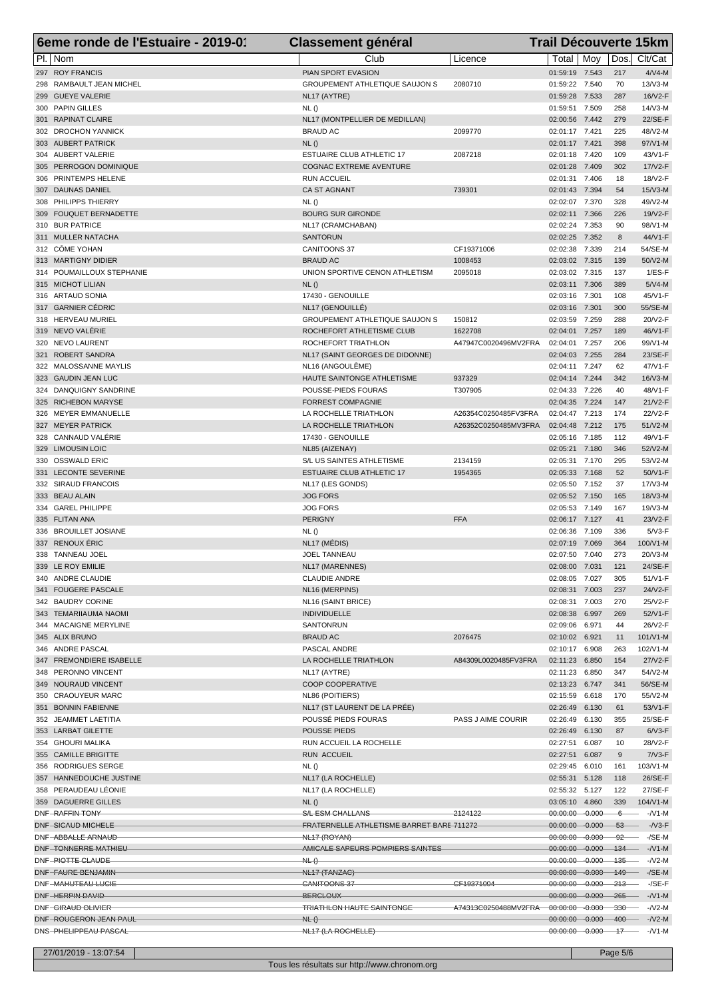| 6eme ronde de l'Estuaire - 2019-01              | <b>Classement général</b>                                     |                                              | <b>Trail Découverte 15km</b>                          |                |                |                            |
|-------------------------------------------------|---------------------------------------------------------------|----------------------------------------------|-------------------------------------------------------|----------------|----------------|----------------------------|
| PI.   Nom                                       | Club                                                          | Licence                                      | Total   Moy                                           |                | Dos.           | Clt/Cat                    |
| 297 ROY FRANCIS                                 | PIAN SPORT EVASION                                            |                                              | 01:59:19 7.543                                        |                | 217            | $4/VA-M$                   |
| 298 RAMBAULT JEAN MICHEL                        | <b>GROUPEMENT ATHLETIQUE SAUJON S</b>                         | 2080710                                      | 01:59:22 7.540                                        |                | 70             | 13/V3-M                    |
| 299 GUEYE VALERIE                               | NL17 (AYTRE)                                                  |                                              | 01:59:28                                              | 7.533          | 287            | 16/V2-F                    |
| 300 PAPIN GILLES<br>301 RAPINAT CLAIRE          | NL()<br>NL17 (MONTPELLIER DE MEDILLAN)                        |                                              | 01:59:51 7.509<br>02:00:56                            | 7.442          | 258<br>279     | 14/V3-M<br>22/SE-F         |
| 302 DROCHON YANNICK                             | <b>BRAUD AC</b>                                               | 2099770                                      | 02:01:17 7.421                                        |                | 225            | 48/V2-M                    |
| 303 AUBERT PATRICK                              | NL()                                                          |                                              | 02:01:17 7.421                                        |                | 398            | 97/V1-M                    |
| 304 AUBERT VALERIE                              | <b>ESTUAIRE CLUB ATHLETIC 17</b>                              | 2087218                                      | 02:01:18                                              | 7.420          | 109            | 43/V1-F                    |
| 305 PERROGON DOMINIQUE                          | <b>COGNAC EXTREME AVENTURE</b>                                |                                              | 02:01:28 7.409                                        |                | 302            | 17/V2-F                    |
| 306 PRINTEMPS HELENE                            | <b>RUN ACCUEIL</b>                                            |                                              | 02:01:31                                              | 7.406          | 18             | 18/V2-F                    |
| 307 DAUNAS DANIEL                               | <b>CA ST AGNANT</b>                                           | 739301                                       | 02:01:43                                              | 7.394          | 54             | $15/N3-M$                  |
| 308 PHILIPPS THIERRY<br>309 FOUQUET BERNADETTE  | NL()<br><b>BOURG SUR GIRONDE</b>                              |                                              | 02:02:07 7.370<br>02:02:11                            | 7.366          | 328<br>226     | 49/V2-M<br>19/V2-F         |
| 310 BUR PATRICE                                 | NL17 (CRAMCHABAN)                                             |                                              | 02:02:24                                              | 7.353          | 90             | 98/V1-M                    |
| 311 MULLER NATACHA                              | <b>SANTORUN</b>                                               |                                              | 02:02:25                                              | 7.352          | 8              | 44/V1-F                    |
| 312 CÔME YOHAN                                  | <b>CANITOONS 37</b>                                           | CF19371006                                   | 02:02:38                                              | 7.339          | 214            | 54/SE-M                    |
| 313 MARTIGNY DIDIER                             | <b>BRAUD AC</b>                                               | 1008453                                      | 02:03:02                                              | 7.315          | 139            | 50/V2-M                    |
| 314 POUMAILLOUX STEPHANIE                       | UNION SPORTIVE CENON ATHLETISM                                | 2095018                                      | 02:03:02 7.315                                        |                | 137            | $1/ES-F$                   |
| 315 MICHOT LILIAN                               | NL()                                                          |                                              | 02:03:11                                              | 7.306          | 389            | $5/N4-M$                   |
| 316 ARTAUD SONIA                                | 17430 - GENOUILLE                                             |                                              | 02:03:16                                              | 7.301          | 108            | 45/V1-F                    |
| 317 GARNIER CÉDRIC<br>318 HERVEAU MURIEL        | NL17 (GENOUILLÉ)<br><b>GROUPEMENT ATHLETIQUE SAUJON S</b>     | 150812                                       | 02:03:16<br>02:03:59                                  | 7.301<br>7.259 | 300<br>288     | 55/SE-M<br>20/V2-F         |
| 319 NEVO VALÉRIE                                | ROCHEFORT ATHLETISME CLUB                                     | 1622708                                      | 02:04:01                                              | 7.257          | 189            | 46/V1-F                    |
| 320 NEVO LAURENT                                | ROCHEFORT TRIATHLON                                           | A47947C0020496MV2FRA                         | 02:04:01 7.257                                        |                | 206            | 99/V1-M                    |
| 321 ROBERT SANDRA                               | NL17 (SAINT GEORGES DE DIDONNE)                               |                                              | 02:04:03 7.255                                        |                | 284            | 23/SE-F                    |
| 322 MALOSSANNE MAYLIS                           | NL16 (ANGOULÊME)                                              |                                              | 02:04:11                                              | 7.247          | 62             | 47/V1-F                    |
| 323 GAUDIN JEAN LUC                             | HAUTE SAINTONGE ATHLETISME                                    | 937329                                       | 02:04:14 7.244                                        |                | 342            | 16/V3-M                    |
| 324 DANQUIGNY SANDRINE                          | POUSSE-PIEDS FOURAS                                           | T307905                                      | 02:04:33                                              | 7.226          | 40             | 48/V1-F                    |
| 325 RICHEBON MARYSE                             | <b>FORREST COMPAGNIE</b>                                      |                                              | 02:04:35 7.224                                        |                | 147            | $21/N2-F$                  |
| 326 MEYER EMMANUELLE<br>327 MEYER PATRICK       | LA ROCHELLE TRIATHLON<br>LA ROCHELLE TRIATHLON                | A26354C0250485FV3FRA<br>A26352C0250485MV3FRA | 02:04:47 7.213<br>02:04:48                            | 7.212          | 174<br>175     | 22/V2-F<br>51/V2-M         |
| 328 CANNAUD VALÉRIE                             | 17430 - GENOUILLE                                             |                                              | 02:05:16                                              | 7.185          | 112            | 49/V1-F                    |
| 329 LIMOUSIN LOIC                               | NL85 (AIZENAY)                                                |                                              | 02:05:21                                              | 7.180          | 346            | 52/V2-M                    |
| 330 OSSWALD ERIC                                | S/L US SAINTES ATHLETISME                                     | 2134159                                      | 02:05:31                                              | 7.170          | 295            | 53/V2-M                    |
| 331 LECONTE SEVERINE                            | <b>ESTUAIRE CLUB ATHLETIC 17</b>                              | 1954365                                      | 02:05:33 7.168                                        |                | 52             | 50/V1-F                    |
| 332 SIRAUD FRANCOIS                             | NL17 (LES GONDS)                                              |                                              | 02:05:50                                              | 7.152          | 37             | $17/N3-M$                  |
| 333 BEAU ALAIN                                  | <b>JOG FORS</b>                                               |                                              | 02:05:52                                              | 7.150          | 165            | 18/V3-M                    |
| 334 GAREL PHILIPPE                              | <b>JOG FORS</b><br><b>PERIGNY</b>                             | <b>FFA</b>                                   | 02:05:53 7.149<br>02:06:17 7.127                      |                | 167<br>41      | 19/V3-M<br>23/V2-F         |
| 335 FLITAN ANA<br>336 BROUILLET JOSIANE         | NL()                                                          |                                              | 02:06:36                                              | 7.109          | 336            | $5/V3-F$                   |
| 337 RENOUX ÉRIC                                 | NL17 (MEDIS)                                                  |                                              | 02:07:19                                              | 7.069          | 364            | 100/V1-M                   |
| 338 TANNEAU JOEL                                | <b>JOEL TANNEAU</b>                                           |                                              | 02:07:50 7.040                                        |                | 273            | 20/V3-M                    |
| 339 LE ROY EMILIE                               | NL17 (MARENNES)                                               |                                              | 02:08:00 7.031                                        |                | 121            | 24/SE-F                    |
| 340 ANDRE CLAUDIE                               | <b>CLAUDIE ANDRE</b>                                          |                                              | 02:08:05 7.027                                        |                | 305            | 51/V1-F                    |
| 341 FOUGERE PASCALE                             | NL16 (MERPINS)                                                |                                              | 02:08:31 7.003                                        |                | 237            | 24/V2-F                    |
| 342 BAUDRY CORINE                               | NL16 (SAINT BRICE)                                            |                                              | 02:08:31 7.003                                        |                | 270            | 25/V2-F                    |
| 343 TEMARIIAUMA NAOMI<br>344 MACAIGNE MERYLINE  | <b>INDIVIDUELLE</b><br>SANTONRUN                              |                                              | 02:08:38<br>02:09:06 6.971                            | 6.997          | 269<br>44      | 52/V1-F<br>26/V2-F         |
| 345 ALIX BRUNO                                  | <b>BRAUD AC</b>                                               | 2076475                                      | 02:10:02 6.921                                        |                | 11             | 101/V1-M                   |
| 346 ANDRE PASCAL                                | PASCAL ANDRE                                                  |                                              | 02:10:17 6.908                                        |                | 263            | 102/V1-M                   |
| 347 FREMONDIERE ISABELLE                        | LA ROCHELLE TRIATHLON                                         | A84309L0020485FV3FRA                         | 02:11:23 6.850                                        |                | 154            | 27/V2-F                    |
| 348 PERONNO VINCENT                             | NL17 (AYTRE)                                                  |                                              | 02:11:23                                              | 6.850          | 347            | 54/V2-M                    |
| 349 NOURAUD VINCENT                             | COOP COOPERATIVE                                              |                                              | 02:13:23 6.747                                        |                | 341            | 56/SE-M                    |
| 350 CRAOUYEUR MARC                              | NL86 (POITIERS)                                               |                                              | 02:15:59 6.618                                        |                | 170            | 55/V2-M                    |
| 351 BONNIN FABIENNE                             | NL17 (ST LAURENT DE LA PRÉE)                                  |                                              | 02:26:49 6.130                                        |                | 61             | 53/V1-F                    |
| 352 JEAMMET LAETITIA<br>353 LARBAT GILETTE      | POUSSÉ PIEDS FOURAS<br>POUSSE PIEDS                           | PASS J AIME COURIR                           | 02:26:49 6.130<br>02:26:49 6.130                      |                | 355<br>87      | 25/SE-F<br>$6/\sqrt{3}$ -F |
| 354 GHOURI MALIKA                               | RUN ACCUEIL LA ROCHELLE                                       |                                              | 02:27:51 6.087                                        |                | 10             | 28/V2-F                    |
| 355 CAMILLE BRIGITTE                            | <b>RUN ACCUEIL</b>                                            |                                              | 02:27:51 6.087                                        |                | 9              | $7/N3-F$                   |
| 356 RODRIGUES SERGE                             | NL()                                                          |                                              | 02:29:45 6.010                                        |                | 161            | 103/V1-M                   |
| 357 HANNEDOUCHE JUSTINE                         | NL17 (LA ROCHELLE)                                            |                                              | 02:55:31 5.128                                        |                | 118            | 26/SE-F                    |
| 358 PERAUDEAU LÉONIE                            | NL17 (LA ROCHELLE)                                            |                                              | 02:55:32 5.127                                        |                | 122            | 27/SE-F                    |
| 359 DAGUERRE GILLES                             | NL()                                                          |                                              | 03:05:10 4.860                                        |                | 339            | 104/V1-M                   |
| DNF-RAFFIN TONY<br>DNF-SICAUD MICHELE           | S/L ESM CHALLANS<br>FRATERNELLE ATHLETISME BARRET BARE 711272 | 2124122                                      | 00:00:00 -0.000<br>00:00:00 -0.000                    |                | $-6$<br>$53 -$ | $-$ / $V1$ -M<br>$ N3-F$   |
| DNF-ABBALLE ARNAUD                              | NL17 (ROYAN)                                                  |                                              | $-00:00:00 - 0.000$                                   |                | $-92-$         | $-$ /SE-M                  |
| DNF-TONNERRE MATHIEU                            | AMICALE SAPEURS POMPIERS SAINTES                              |                                              | $-00:00:00$ $-0.000$ $134$ $-$                        |                |                | $-N1-M$                    |
| DNF-PIOTTE CLAUDE                               | N L()                                                         |                                              | $00:00:00 - 0.000 - 135$                              |                |                | $ N2$ -M                   |
| DNF-FAURE BENJAMIN                              | NL <sub>17</sub> (TANZAC)                                     |                                              | 00:00:00 -0.000 149                                   |                |                | $-SE-M$                    |
| DNF-MAHUTEAU LUCIE                              | CANITOONS 37                                                  | CF19371004                                   | $00:00:00 - 0.000 - 213$ -                            |                |                | $-/SE-F$                   |
| DNF-HERPIN DAVID                                | <b>BERCLOUX</b>                                               |                                              | 00:00:00 0.000 265                                    |                |                | $-$ / $V1 - M$             |
| DNF-GIRAUD OLIVIER-                             | <b>TRIATHLON HAUTE SAINTONGE</b>                              | A74313C0250488MV2FRA 00:00:00 -0.000 330     |                                                       |                |                | $ N2$ -M                   |
| DNF-ROUGERON JEAN PAUL<br>DNS-PHELIPPEAU PASCAL | NL()<br>NL17 (LA ROCHELLE)                                    |                                              | $00:00:00 - 0.000 - 400$<br>$00:00:00 - 0.000 - 17$ - |                |                | $-N2-M$<br>$-N1-M$         |
|                                                 |                                                               |                                              |                                                       |                |                |                            |

27/01/2019 - 13:07:54 Page 5/6